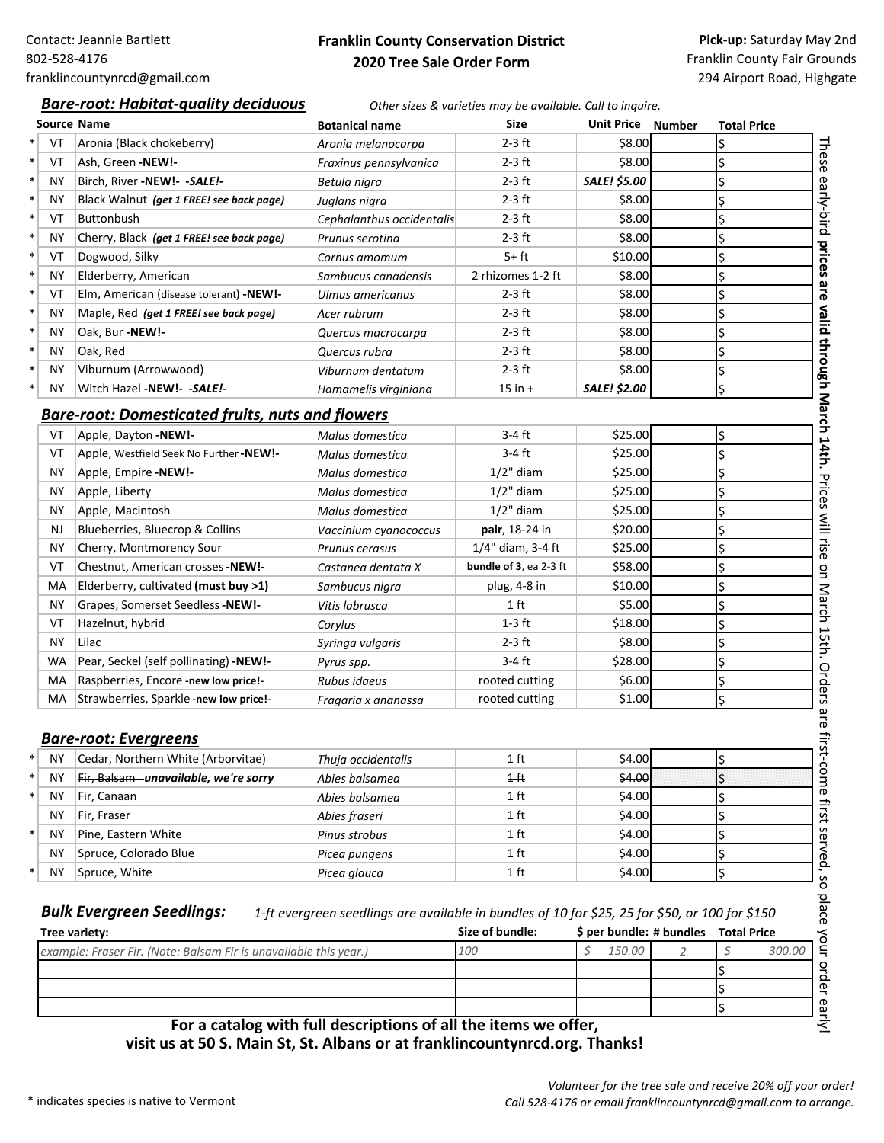## **Franklin County Conservation District 2020 Tree Sale Order Form**

**Pick‐up:** Saturday May 2nd Franklin County Fair Grounds 294 Airport Road, Highgate

### *Bare‐root: Habitat‐quality deciduous Other sizes & varieties may be available. Call to inquire.*

|            | <b>Source Name</b>                                      | <b>Botanical name</b>     | <b>Size</b>            | Unit Price Number   | <b>Total Price</b> |
|------------|---------------------------------------------------------|---------------------------|------------------------|---------------------|--------------------|
| VT         | Aronia (Black chokeberry)                               | Aronia melanocarpa        | $2-3$ ft               | \$8.00              | Ś                  |
| VT         | Ash, Green -NEW!-                                       | Fraxinus pennsylvanica    | $2-3$ ft               | \$8.00              | \$                 |
| <b>NY</b>  | Birch, River -NEW!- - SALE!-                            | Betula nigra              | $2-3$ ft               | <b>SALE! \$5.00</b> | \$                 |
| <b>NY</b>  | Black Walnut (get 1 FREE! see back page)                | Juglans nigra             | $2-3$ ft               | \$8.00              | \$                 |
| VT         | <b>Buttonbush</b>                                       | Cephalanthus occidentalis | $2-3$ ft               | \$8.00              | \$                 |
| NY         | Cherry, Black (get 1 FREE! see back page)               | Prunus serotina           | $2-3$ ft               | \$8.00              | \$                 |
| VT         | Dogwood, Silky                                          | Cornus amomum             | $5+ft$                 | \$10.00             | \$                 |
| <b>NY</b>  | Elderberry, American                                    | Sambucus canadensis       | 2 rhizomes 1-2 ft      | \$8.00              | \$                 |
| VT         | Elm, American (disease tolerant) -NEW!-                 | Ulmus americanus          | $2-3$ ft               | \$8.00              | \$                 |
| <b>NY</b>  | Maple, Red (get 1 FREE! see back page)                  | Acer rubrum               | $2-3$ ft               | \$8.00              | \$                 |
| <b>NY</b>  | Oak, Bur -NEW!-                                         | Quercus macrocarpa        | $2-3$ ft               | \$8.00              | \$                 |
| <b>NY</b>  | Oak, Red                                                | Quercus rubra             | $2-3$ ft               | \$8.00              | \$                 |
| <b>NY</b>  | Viburnum (Arrowwood)                                    | Viburnum dentatum         | $2-3$ ft               | \$8.00              | \$                 |
| <b>NY</b>  | Witch Hazel -NEW!- -SALE!-                              | Hamamelis virginiana      | $15$ in $+$            | <b>SALE! \$2.00</b> | \$                 |
|            | <b>Bare-root: Domesticated fruits, nuts and flowers</b> |                           |                        |                     |                    |
| VT         | Apple, Dayton -NEW!-                                    | Malus domestica           | $3-4$ ft               | \$25.00             | \$                 |
| VT         | Apple, Westfield Seek No Further-NEW!-                  | Malus domestica           | $3-4$ ft               | \$25.00             | \$                 |
| <b>NY</b>  | Apple, Empire -NEW!-                                    | Malus domestica           | $1/2$ " diam           | \$25.00             | \$                 |
| <b>NY</b>  | Apple, Liberty                                          | Malus domestica           | $1/2$ " diam           | \$25.00             | \$                 |
| <b>NY</b>  | Apple, Macintosh                                        | Malus domestica           | $1/2$ " diam           | \$25.00             | \$                 |
| NJ         | Blueberries, Bluecrop & Collins                         | Vaccinium cyanococcus     | pair, 18-24 in         | \$20.00             | \$                 |
| <b>NY</b>  | Cherry, Montmorency Sour                                | Prunus cerasus            | $1/4"$ diam, 3-4 ft    | \$25.00             | \$                 |
| VT         | Chestnut, American crosses -NEW!-                       | Castanea dentata X        | bundle of 3, ea 2-3 ft | \$58.00             | \$                 |
| МA         | Elderberry, cultivated (must buy >1)                    | Sambucus nigra            | plug, 4-8 in           | \$10.00             | \$                 |
| <b>NY</b>  | Grapes, Somerset Seedless-NEW!-                         | Vitis labrusca            | 1 <sub>ft</sub>        | \$5.00              | \$                 |
| VT         | Hazelnut, hybrid                                        | Corylus                   | $1-3$ ft               | \$18.00             | \$                 |
| <b>NY</b>  | Lilac                                                   | Syringa vulgaris          | $2-3$ ft               | \$8.00              | \$                 |
| WA         | Pear, Seckel (self pollinating) -NEW!-                  | Pyrus spp.                | $3-4$ ft               | \$28.00             | \$                 |
| МA         | Raspberries, Encore -new low price!-                    | Rubus idaeus              | rooted cutting         | \$6.00              | \$                 |
| МA         | Strawberries, Sparkle-new low price!-                   | Fragaria x ananassa       | rooted cutting         | \$1.00              | \$                 |
|            |                                                         |                           |                        |                     |                    |
|            | <b>Bare-root: Evergreens</b>                            |                           |                        |                     |                    |
| <b>NY</b>  | Cedar, Northern White (Arborvitae)                      | Thuja occidentalis        | 1 ft                   | \$4.00              | \$                 |
| <b>NY</b>  | Fir, Balsam – unavailable, we're sorry                  | Abies balsamea            | $1$ ft                 | \$4.00              | \$                 |
| <b>NY</b>  | Fir, Canaan                                             | Abies balsamea            | 1 ft                   | \$4.00              | \$                 |
| <b>NY</b>  | Fir, Fraser                                             | Abies fraseri             | 1 ft                   | \$4.00              | \$                 |
| <b>NY</b>  | Pine, Eastern White                                     | Pinus strobus             | 1 <sub>ft</sub>        | \$4.00              | \$                 |
| <b>NY</b>  | Spruce, Colorado Blue                                   | Picea pungens             | 1 <sub>ft</sub>        | \$4.00              | \$                 |
| <b>AIN</b> | $C = 1411.34$                                           |                           | $\overline{a}$         | 4.00                |                    |

NY Spruce, White *Picea glauca* 1 ft \$4.00

Bulk Evergreen Seedlings: 1-ft evergreen seedlings are available in bundles of 10 for \$25, 25 for \$50, or 100 for \$150

| Tree variety:                                                     | Size of bundle: | \$ per bundle: # bundles Total Price |        |   |
|-------------------------------------------------------------------|-----------------|--------------------------------------|--------|---|
| example: Fraser Fir. (Note: Balsam Fir is unavailable this year.) | 100             | 150.00                               | 300.0C |   |
|                                                                   |                 |                                      |        |   |
|                                                                   |                 |                                      |        | ന |
|                                                                   |                 |                                      |        | ന |
| For a catalog with full descriptions of all the items we offer,   |                 |                                      |        |   |

**For a catalog with full descriptions of all the items we offer, visit us at 50 S. Main St, St. Albans or at franklincountynrcd.org. Thanks!**

so place